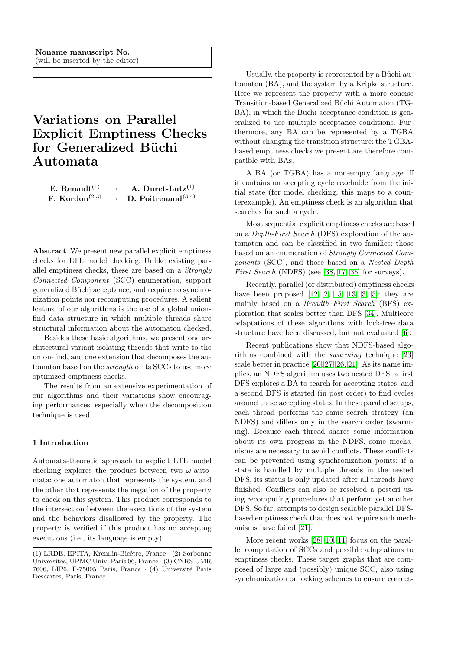# <span id="page-0-0"></span>Variations on Parallel Explicit Emptiness Checks for Generalized Büchi Automata

| E. Renault $(1)$                        | A. Duret-Lutz $^{(1)}$   |
|-----------------------------------------|--------------------------|
| F. Kordon <sup><math>(2,3)</math></sup> | D. Poitrenaud $^{(3,4)}$ |

Abstract We present new parallel explicit emptiness checks for LTL model checking. Unlike existing parallel emptiness checks, these are based on a Strongly Connected Component (SCC) enumeration, support generalized Büchi acceptance, and require no synchronization points nor recomputing procedures. A salient feature of our algorithms is the use of a global unionfind data structure in which multiple threads share structural information about the automaton checked.

Besides these basic algorithms, we present one architectural variant isolating threads that write to the union-find, and one extension that decomposes the automaton based on the strength of its SCCs to use more optimized emptiness checks.

The results from an extensive experimentation of our algorithms and their variations show encouraging performances, especially when the decomposition technique is used.

## 1 Introduction

Automata-theoretic approach to explicit LTL model checking explores the product between two  $\omega$ -automata: one automaton that represents the system, and the other that represents the negation of the property to check on this system. This product corresponds to the intersection between the executions of the system and the behaviors disallowed by the property. The property is verified if this product has no accepting executions (i.e., its language is empty).

Usually, the property is represented by a Büchi automaton (BA), and the system by a Kripke structure. Here we represent the property with a more concise Transition-based Generalized Büchi Automaton (TG-BA), in which the Büchi acceptance condition is generalized to use multiple acceptance conditions. Furthermore, any BA can be represented by a TGBA without changing the transition structure: the TGBAbased emptiness checks we present are therefore compatible with BAs.

A BA (or TGBA) has a non-empty language iff it contains an accepting cycle reachable from the initial state (for model checking, this maps to a counterexample). An emptiness check is an algorithm that searches for such a cycle.

Most sequential explicit emptiness checks are based on a Depth-First Search (DFS) exploration of the automaton and can be classified in two families: those based on an enumeration of Strongly Connected Components (SCC), and those based on a Nested Depth First Search (NDFS) (see [\[38,](#page-20-0) [17,](#page-19-0) [35\]](#page-20-1) for surveys).

Recently, parallel (or distributed) emptiness checks have been proposed  $[12, 2, 15, 13, 3, 5]$  $[12, 2, 15, 13, 3, 5]$  $[12, 2, 15, 13, 3, 5]$  $[12, 2, 15, 13, 3, 5]$  $[12, 2, 15, 13, 3, 5]$  $[12, 2, 15, 13, 3, 5]$ : they are mainly based on a Breadth First Search (BFS) exploration that scales better than DFS [\[34\]](#page-20-2). Multicore adaptations of these algorithms with lock-free data structure have been discussed, but not evaluated [\[6\]](#page-19-7).

Recent publications show that NDFS-based algorithms combined with the swarming technique [\[23\]](#page-20-3) scale better in practice [\[20,](#page-19-8) [27,](#page-20-4) [26,](#page-20-5) [21\]](#page-19-9). As its name implies, an NDFS algorithm uses two nested DFS: a first DFS explores a BA to search for accepting states, and a second DFS is started (in post order) to find cycles around these accepting states. In these parallel setups, each thread performs the same search strategy (an NDFS) and differs only in the search order (swarming). Because each thread shares some information about its own progress in the NDFS, some mechanisms are necessary to avoid conflicts. These conflicts can be prevented using synchronization points: if a state is handled by multiple threads in the nested DFS, its status is only updated after all threads have finished. Conflicts can also be resolved a posteri using recomputing procedures that perform yet another DFS. So far, attempts to design scalable parallel DFSbased emptiness check that does not require such mechanisms have failed [\[21\]](#page-19-9).

More recent works [\[28,](#page-20-6) [10,](#page-19-10) [11\]](#page-19-11) focus on the parallel computation of SCCs and possible adaptations to emptiness checks. These target graphs that are composed of large and (possibly) unique SCC, also using synchronization or locking schemes to ensure correct-

<sup>(1)</sup> LRDE, EPITA, Kremlin-Bicêtre, France  $\cdot$  (2) Sorbonne Universités, UPMC Univ. Paris 06, France · (3) CNRS UMR 7606, LIP6, F-75005 Paris, France · (4) Université Paris Descartes, Paris, France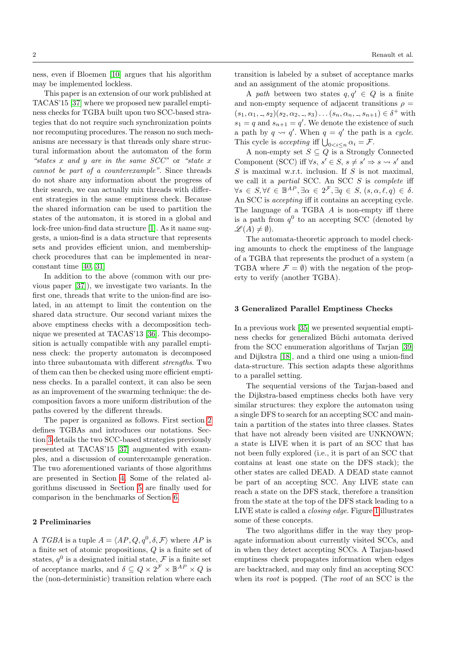ness, even if Bloemen [\[10\]](#page-19-10) argues that his algorithm may be implemented lockless.

This paper is an extension of our work published at TACAS'15 [\[37\]](#page-20-7) where we proposed new parallel emptiness checks for TGBA built upon two SCC-based strategies that do not require such synchronization points nor recomputing procedures. The reason no such mechanisms are necessary is that threads only share structural information about the automaton of the form "states x and y are in the same  $SCC"$  or "state x" cannot be part of a counterexample". Since threads do not share any information about the progress of their search, we can actually mix threads with different strategies in the same emptiness check. Because the shared information can be used to partition the states of the automaton, it is stored in a global and lock-free union-find data structure [\[1\]](#page-19-12). As it name suggests, a union-find is a data structure that represents sets and provides efficient union, and membershipcheck procedures that can be implemented in nearconstant time [\[40,](#page-20-8) [31\]](#page-20-9)

In addition to the above (common with our previous paper [\[37\]](#page-20-7)), we investigate two variants. In the first one, threads that write to the union-find are isolated, in an attempt to limit the contention on the shared data structure. Our second variant mixes the above emptiness checks with a decomposition technique we presented at TACAS'13 [\[36\]](#page-20-10). This decomposition is actually compatible with any parallel emptiness check: the property automaton is decomposed into three subautomata with different strengths. Two of them can then be checked using more efficient emptiness checks. In a parallel context, it can also be seen as an improvement of the swarming technique: the decomposition favors a more uniform distribution of the paths covered by the different threads.

The paper is organized as follows. First section [2](#page-1-0) defines TGBAs and introduces our notations. Section [3](#page-1-1) details the two SCC-based strategies previously presented at TACAS'15 [\[37\]](#page-20-7) augmented with examples, and a discussion of counterexample generation. The two aforementioned variants of those algorithms are presented in Section [4.](#page-9-0) Some of the related algorithms discussed in Section [5](#page-12-0) are finally used for comparison in the benchmarks of Section [6.](#page-13-0)

## <span id="page-1-0"></span>2 Preliminaries

A TGBA is a tuple  $A = \langle AP, Q, q^0, \delta, \mathcal{F} \rangle$  where AP is a finite set of atomic propositions, Q is a finite set of states,  $q^0$  is a designated initial state,  $\mathcal F$  is a finite set of acceptance marks, and  $\delta \subseteq Q \times 2^{\mathcal{F}} \times \mathbb{B}^{AP} \times Q$  is the (non-deterministic) transition relation where each transition is labeled by a subset of acceptance marks and an assignment of the atomic propositions.

A path between two states  $q, q' \in Q$  is a finite and non-empty sequence of adjacent transitions  $\rho =$  $(s_1, \alpha_1, ..., s_2)(s_2, \alpha_2, ..., s_3)...(s_n, \alpha_n, ..., s_{n+1}) \in \delta^+$  with  $s_1 = q$  and  $s_{n+1} = q'$ . We denote the existence of such a path by  $q \rightarrow q'$ . When  $q = q'$  the path is a cycle. This cycle is accepting iff  $\bigcup_{0 \leq i \leq n} \alpha_i = \mathcal{F}.$ 

A non-empty set  $S \subseteq Q$  is a Strongly Connected Component (SCC) iff  $\forall s, s' \in S, s \neq s' \Rightarrow s \rightsquigarrow s'$  and  $S$  is maximal w.r.t. inclusion. If  $S$  is not maximal, we call it a partial SCC. An SCC  $S$  is complete iff  $\forall s \in S, \forall \ell \in \mathbb{B}^{AP}, \exists \alpha \in 2^{\mathcal{F}}, \exists q \in S, (s, \alpha, \ell, q) \in \delta.$ An SCC is accepting iff it contains an accepting cycle. The language of a TGBA A is non-empty iff there is a path from  $q^0$  to an accepting SCC (denoted by  $\mathscr{L}(A) \neq \emptyset$ ).

The automata-theoretic approach to model checking amounts to check the emptiness of the language of a TGBA that represents the product of a system (a TGBA where  $\mathcal{F} = \emptyset$  with the negation of the property to verify (another TGBA).

## <span id="page-1-1"></span>3 Generalized Parallel Emptiness Checks

In a previous work [\[35\]](#page-20-1) we presented sequential emptiness checks for generalized Büchi automata derived from the SCC enumeration algorithms of Tarjan [\[39\]](#page-20-11) and Dijkstra [\[18\]](#page-19-13), and a third one using a union-find data-structure. This section adapts these algorithms to a parallel setting.

The sequential versions of the Tarjan-based and the Dijkstra-based emptiness checks both have very similar structures: they explore the automaton using a single DFS to search for an accepting SCC and maintain a partition of the states into three classes. States that have not already been visited are UNKNOWN; a state is LIVE when it is part of an SCC that has not been fully explored (i.e., it is part of an SCC that contains at least one state on the DFS stack); the other states are called DEAD. A DEAD state cannot be part of an accepting SCC. Any LIVE state can reach a state on the DFS stack, therefore a transition from the state at the top of the DFS stack leading to a LIVE state is called a closing edge. Figure [1](#page-2-0) illustrates some of these concepts.

The two algorithms differ in the way they propagate information about currently visited SCCs, and in when they detect accepting SCCs. A Tarjan-based emptiness check propagates information when edges are backtracked, and may only find an accepting SCC when its *root* is popped. (The *root* of an SCC is the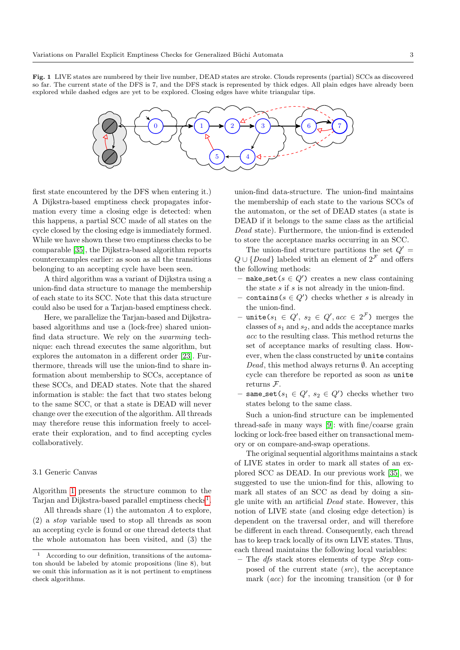<span id="page-2-0"></span>Fig. 1 LIVE states are numbered by their live number, DEAD states are stroke. Clouds represents (partial) SCCs as discovered so far. The current state of the DFS is 7, and the DFS stack is represented by thick edges. All plain edges have already been explored while dashed edges are yet to be explored. Closing edges have white triangular tips.



first state encountered by the DFS when entering it.) A Dijkstra-based emptiness check propagates information every time a closing edge is detected: when this happens, a partial SCC made of all states on the cycle closed by the closing edge is immediately formed. While we have shown these two emptiness checks to be comparable [\[35\]](#page-20-1), the Dijkstra-based algorithm reports counterexamples earlier: as soon as all the transitions belonging to an accepting cycle have been seen.

A third algorithm was a variant of Dijkstra using a union-find data structure to manage the membership of each state to its SCC. Note that this data structure could also be used for a Tarjan-based emptiness check.

Here, we parallelize the Tarjan-based and Dijkstrabased algorithms and use a (lock-free) shared unionfind data structure. We rely on the swarming technique: each thread executes the same algorithm, but explores the automaton in a different order [\[23\]](#page-20-3). Furthermore, threads will use the union-find to share information about membership to SCCs, acceptance of these SCCs, and DEAD states. Note that the shared information is stable: the fact that two states belong to the same SCC, or that a state is DEAD will never change over the execution of the algorithm. All threads may therefore reuse this information freely to accelerate their exploration, and to find accepting cycles collaboratively.

## 3.1 Generic Canvas

Algorithm [1](#page-3-0) presents the structure common to the Tarjan and Dijkstra-based parallel emptiness checks<sup>[1](#page-2-1)</sup>.

All threads share  $(1)$  the automaton  $A$  to explore, (2) a stop variable used to stop all threads as soon an accepting cycle is found or one thread detects that the whole automaton has been visited, and (3) the union-find data-structure. The union-find maintains the membership of each state to the various SCCs of the automaton, or the set of DEAD states (a state is DEAD if it belongs to the same class as the artificial Dead state). Furthermore, the union-find is extended to store the acceptance marks occurring in an SCC.

The union-find structure partitions the set  $Q' =$  $Q \cup \{Dead\}$  labeled with an element of  $2^{\mathcal{F}}$  and offers the following methods:

- make\_set( $s \in Q'$ ) creates a new class containing the state s if s is not already in the union-find.
- contains( $s \in Q'$ ) checks whether s is already in the union-find.
- $-$  unite( $s_1 \in Q', s_2 \in Q', acc \in 2^{\mathcal{F}}$ ) merges the classes of  $s_1$  and  $s_2$ , and adds the acceptance marks acc to the resulting class. This method returns the set of acceptance marks of resulting class. However, when the class constructed by unite contains Dead, this method always returns  $\emptyset$ . An accepting cycle can therefore be reported as soon as unite returns F.
- $-$  same\_set( $s_1 \in Q', s_2 \in Q'$ ) checks whether two states belong to the same class.

Such a union-find structure can be implemented thread-safe in many ways [\[9\]](#page-19-14): with fine/coarse grain locking or lock-free based either on transactional memory or on compare-and-swap operations.

The original sequential algorithms maintains a stack of LIVE states in order to mark all states of an explored SCC as DEAD. In our previous work [\[35\]](#page-20-1), we suggested to use the union-find for this, allowing to mark all states of an SCC as dead by doing a single unite with an artificial Dead state. However, this notion of LIVE state (and closing edge detection) is dependent on the traversal order, and will therefore be different in each thread. Consequently, each thread has to keep track locally of its own LIVE states. Thus, each thread maintains the following local variables:

– The  $dfs$  stack stores elements of type  $Step$  composed of the current state (src), the acceptance mark (*acc*) for the incoming transition (or  $\emptyset$  for

<span id="page-2-1"></span>According to our definition, transitions of the automaton should be labeled by atomic propositions (line 8), but we omit this information as it is not pertinent to emptiness check algorithms.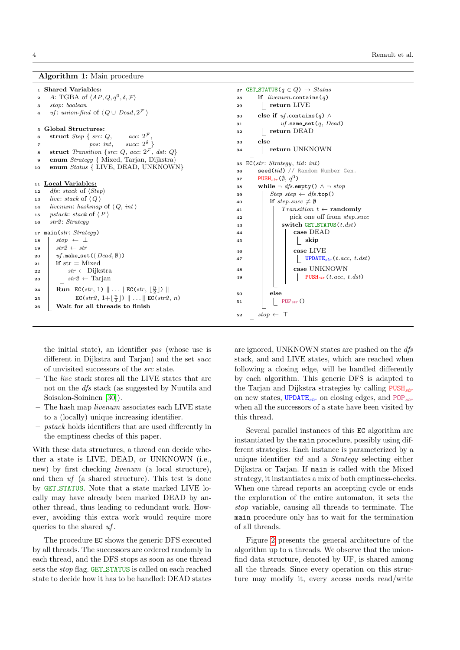## Algorithm 1: Main procedure

## <sup>1</sup> Shared Variables:

- 2 A: TGBA of  $\langle AP, Q, q^0, \delta, F \rangle$
- <sup>3</sup> stop: boolean
- 4 uf: union-find of  $\langle Q \cup Dead, 2^{\mathcal{F}} \rangle$

## <sup>5</sup> Global Structures:

- 6 struct Step { src:  $Q$ , acc:  $2^{\mathcal{F}}$
- $\tau$  pos: int, succ:  $2^{\delta}$  }
- **8** struct Transition {src:  $Q$ , acc:  $2^{\mathcal{F}}$ , dst:  $Q$ }
- <sup>9</sup> enum Strategy { Mixed, Tarjan, Dijkstra}
- 10 enum Status { LIVE, DEAD, UNKNOWN}

#### <sup>11</sup> Local Variables:

- 12 *dfs*: stack of  $\langle Step \rangle$
- 13 live: stack of  $\langle Q \rangle$
- 14 *livenum:* hashmap of  $\langle Q, int \rangle$ 15 pstack: stack of  $\langle P \rangle$
- 

```
18 | stop \leftarrow \perp19 str2 \leftarrow str20 \vert \text{uf.make_set}(\langle \text{Dead}, \emptyset \rangle)21 if str = Mixed
22 \mid \cdot \cdot \cdot \cdot \cdot \cdot \cdotDijkstra
23 str2 ← Tarjan
```

```
16 str2: Strategy
17 main(str: Strategy)
24 | Run EC(str, 1) \|\ldots\| EC(str, \lfloor \frac{n}{2} \rfloor) ||
```
25  $\Big|$  EC(str2, 1+ $\lfloor \frac{n}{2} \rfloor$ )  $\|\ldots\|$  EC(str2, n) <sup>26</sup> Wait for all threads to finish

```
27 GET_STATUS(q \in Q) \rightarrow Status
28 if livenum.\text{contains}(q)29 | | return LIVE
30 else if uf.contains(q) \wedge31 uf.same_set(q, Dead)
32 | return DEAD
33 else
34 | | return UNKNOWN
35 EC(str: Strategy, tid: int)
\mathbf{36} seed(tid) // Random Number Gen.
37 PUSH<sub>str</sub> (\emptyset, q^0)38 while \neg dfs.empty() \land \neg stop
39 Step step \leftarrow dfs.top()
40 if step.succ \neq \emptyset41 \vert Transition t \leftarrow randomly
42 | pick one off from step.succ
43 | switch GET_STATUS(t. ds)44 case DEAD
45 | | | | | | | skip
46 | | | | | | | | case LIVE
47 | | | UPDATE_{str}(t.acc, t.dst)48 | | | | | | | case UNKNOWN
49 | | | | PUSH<sub>str</sub> (t.acc, t.dst)
50 else
51 POP<sub>str</sub> ()
52 \quad stop \leftarrow \top
```
<span id="page-3-0"></span>the initial state), an identifier pos (whose use is different in Dijkstra and Tarjan) and the set succ of unvisited successors of the src state.

- The *live* stack stores all the LIVE states that are not on the dfs stack (as suggested by Nuutila and Soisalon-Soininen [\[30\]](#page-20-12)).
- The hash map *livenum* associates each LIVE state to a (locally) unique increasing identifier.
- pstack holds identifiers that are used differently in the emptiness checks of this paper.

With these data structures, a thread can decide whether a state is LIVE, DEAD, or UNKNOWN (i.e., new) by first checking livenum (a local structure), and then uf (a shared structure). This test is done by GET STATUS. Note that a state marked LIVE locally may have already been marked DEAD by another thread, thus leading to redundant work. However, avoiding this extra work would require more queries to the shared  $uf$ .

The procedure EC shows the generic DFS executed by all threads. The successors are ordered randomly in each thread, and the DFS stops as soon as one thread sets the *stop* flag. GET\_STATUS is called on each reached state to decide how it has to be handled: DEAD states are ignored, UNKNOWN states are pushed on the dfs stack, and and LIVE states, which are reached when following a closing edge, will be handled differently by each algorithm. This generic DFS is adapted to the Tarjan and Dijkstra strategies by calling  $\text{PUSH}_{str}$ on new states, UPDATE<sub>str</sub> on closing edges, and POP<sub>str</sub> when all the successors of a state have been visited by this thread.

Several parallel instances of this EC algorithm are instantiated by the main procedure, possibly using different strategies. Each instance is parameterized by a unique identifier tid and a Strategy selecting either Dijkstra or Tarjan. If main is called with the Mixed strategy, it instantiates a mix of both emptiness-checks. When one thread reports an accepting cycle or ends the exploration of the entire automaton, it sets the stop variable, causing all threads to terminate. The main procedure only has to wait for the termination of all threads.

Figure [2](#page-4-0) presents the general architecture of the algorithm up to  $n$  threads. We observe that the unionfind data structure, denoted by UF, is shared among all the threads. Since every operation on this structure may modify it, every access needs read/write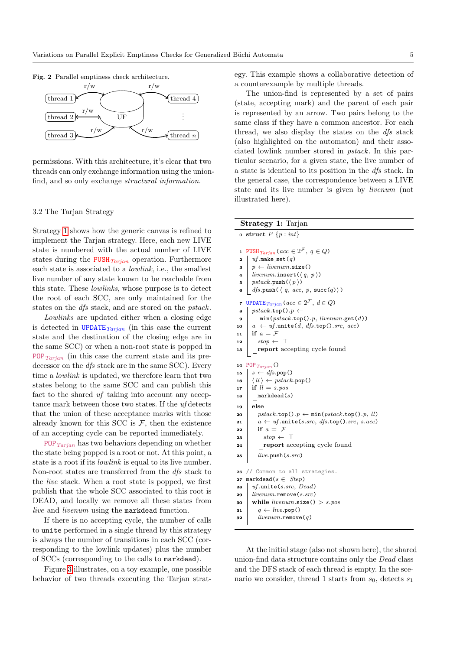<span id="page-4-0"></span>

Fig. 2 Parallel emptiness check architecture.

permissions. With this architecture, it's clear that two threads can only exchange information using the unionfind, and so only exchange structural information.

#### <span id="page-4-1"></span>3.2 The Tarjan Strategy

Strategy [1](#page-3-0) shows how the generic canvas is refined to implement the Tarjan strategy. Here, each new LIVE state is numbered with the actual number of LIVE states during the  $\text{PUSH}_{Tarjan}$  operation. Furthermore each state is associated to a lowlink, i.e., the smallest live number of any state known to be reachable from this state. These lowlinks, whose purpose is to detect the root of each SCC, are only maintained for the states on the dfs stack, and are stored on the pstack.

Lowlinks are updated either when a closing edge is detected in UPDATE $_{Tarjan}$  (in this case the current state and the destination of the closing edge are in the same SCC) or when a non-root state is popped in POP  $_{Tarjan}$  (in this case the current state and its predecessor on the *dfs* stack are in the same SCC). Every time a lowlink is updated, we therefore learn that two states belong to the same SCC and can publish this fact to the shared uf taking into account any acceptance mark between those two states. If the uf detects that the union of these acceptance marks with those already known for this SCC is  $F$ , then the existence of an accepting cycle can be reported immediately.

POP  $_{Tarian}$  has two behaviors depending on whether the state being popped is a root or not. At this point, a state is a root if its lowlink is equal to its live number. Non-root states are transferred from the dfs stack to the live stack. When a root state is popped, we first publish that the whole SCC associated to this root is DEAD, and locally we remove all these states from live and livenum using the markdead function.

If there is no accepting cycle, the number of calls to unite performed in a single thread by this strategy is always the number of transitions in each SCC (corresponding to the lowlink updates) plus the number of SCCs (corresponding to the calls to markdead).

Figure [3](#page-5-0) illustrates, on a toy example, one possible behavior of two threads executing the Tarjan strategy. This example shows a collaborative detection of a counterexample by multiple threads.

The union-find is represented by a set of pairs (state, accepting mark) and the parent of each pair is represented by an arrow. Two pairs belong to the same class if they have a common ancestor. For each thread, we also display the states on the *dfs* stack (also highlighted on the automaton) and their associated lowlink number stored in pstack. In this particular scenario, for a given state, the live number of a state is identical to its position in the dfs stack. In the general case, the correspondence between a LIVE state and its live number is given by livenum (not illustrated here).

|              | Strategy 1: Tarjan                                                     |
|--------------|------------------------------------------------------------------------|
|              | o struct $P\{p : int\}$                                                |
| $\mathbf{1}$ | PUSH $_{Tarjan}$ ( $acc \in 2^{\mathcal{F}}, q \in Q$ )                |
| $\mathbf{z}$ | $uf$ .make_set $(q)$                                                   |
| 3            | $p \leftarrow \text{livenum.size}()$                                   |
| 4            | livenum.insert $(\langle q, p \rangle)$                                |
| 5            | $pstack.\text{push}(\langle p \rangle)$                                |
| ß.           | $dfs.push(\langle q, acc, p, succ(q) \rangle)$                         |
| 7            | UPDATE $_{Tarjan}$ (acc $\in 2^{\mathcal{F}}$ , $d \in Q$ )            |
| 8            | $pstack.\texttt{top}() . p \leftarrow$                                 |
| 9            | $min(pstack.top(), p, \textit{livenum.get}(d))$                        |
| 10           | $a \leftarrow uf.\text{unite}(d, dfs.\text{top}().src, acc)$           |
| 11           | if $a = \mathcal{F}$                                                   |
| 12           | $stop \leftarrow \top$                                                 |
| 13           | report accepting cycle found                                           |
| 14           | POP $_{Tarjan}$ ()                                                     |
| 15           | $s \leftarrow dfs.pop()$                                               |
| 16           | $\langle ll \rangle \leftarrow \text{pstack.pop}()$                    |
| 17           | if $ll = s. pos$                                                       |
| 18           | $\texttt{markedead}(s)$                                                |
| 19           | else                                                                   |
| 20           | $pstack.\text{top}() . p \leftarrow \min(pstack.\text{top}() . p, ll)$ |
| 21           | $a \leftarrow uf.\text{unite}(s.src, dfs.\text{top}().src, s.acc)$     |
| 22           | if $a = \mathcal{F}$                                                   |
| 23           | $stop \leftarrow \top$                                                 |
| 24           | report accepting cycle found                                           |
| 25           | live.push(s.src)                                                       |
| 26           | // Common to all strategies.                                           |
| 27           | $\mathtt{markedead}(s \in \mathit{Step})$                              |
| 28           | $uf.\text{unite}(s.src, Dead)$                                         |
| 29           | $livenum$ .remove(s.src)                                               |
| 30           | while livenum.size() > $s.pos$                                         |
| 31           | $q \leftarrow live.pop()$                                              |
| 32           | $livenum$ .remove $(q)$                                                |
|              |                                                                        |

At the initial stage (also not shown here), the shared union-find data structure contains only the Dead class and the DFS stack of each thread is empty. In the scenario we consider, thread 1 starts from  $s_0$ , detects  $s_1$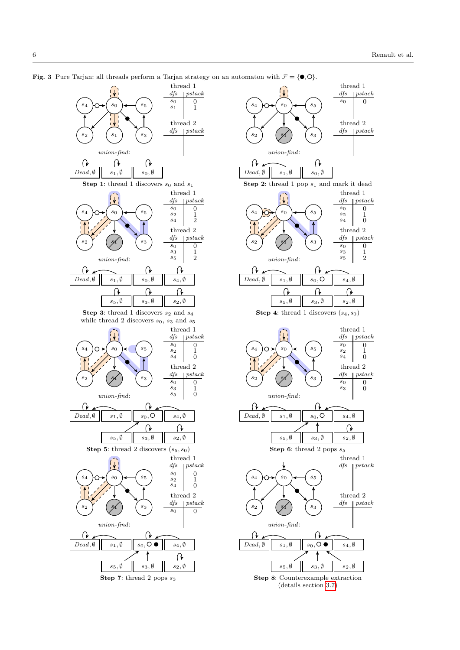<span id="page-5-0"></span>



Step 7: thread 2 pops  $s_3$  Step 8: Counterexample extraction (details section [3.7\)](#page-9-1)

**Fig. 3** Pure Tarjan: all threads perform a Tarjan strategy on an automaton with  $\mathcal{F} = \{\bullet, \circlearrowright\}$ .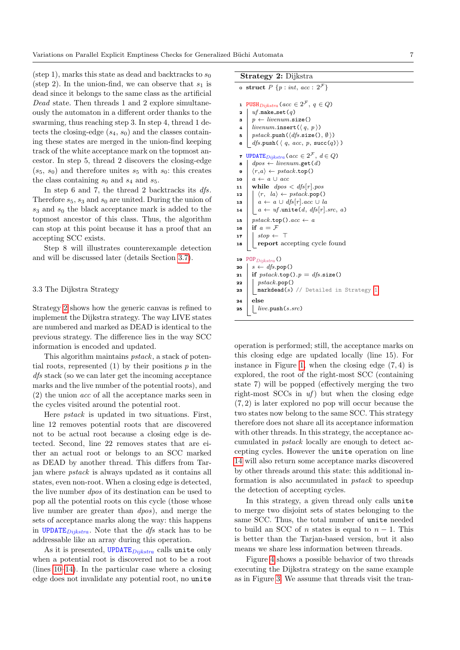(step 1), marks this state as dead and backtracks to  $s_0$ (step 2). In the union-find, we can observe that  $s_1$  is dead since it belongs to the same class as the artificial Dead state. Then threads 1 and 2 explore simultaneously the automaton in a different order thanks to the swarming, thus reaching step 3. In step 4, thread 1 detects the closing-edge  $(s_4, s_0)$  and the classes containing these states are merged in the union-find keeping track of the white acceptance mark on the topmost ancestor. In step 5, thread 2 discovers the closing-edge  $(s_5, s_0)$  and therefore unites  $s_5$  with  $s_0$ : this creates the class containing  $s_0$  and  $s_4$  and  $s_5$ .

In step 6 and 7, the thread 2 backtracks its  $dfs$ . Therefore  $s_5$ ,  $s_3$  and  $s_0$  are united. During the union of  $s_3$  and  $s_0$  the black acceptance mark is added to the topmost ancestor of this class. Thus, the algorithm can stop at this point because it has a proof that an accepting SCC exists.

Step 8 will illustrates counterexample detection and will be discussed later (details Section [3.7\)](#page-9-1).

#### <span id="page-6-3"></span>3.3 The Dijkstra Strategy

Strategy [2](#page-6-0) shows how the generic canvas is refined to implement the Dijkstra strategy. The way LIVE states are numbered and marked as DEAD is identical to the previous strategy. The difference lies in the way SCC information is encoded and updated.

This algorithm maintains *pstack*, a stack of potential roots, represented  $(1)$  by their positions  $p$  in the dfs stack (so we can later get the incoming acceptance marks and the live number of the potential roots), and (2) the union acc of all the acceptance marks seen in the cycles visited around the potential root.

Here pstack is updated in two situations. First, line 12 removes potential roots that are discovered not to be actual root because a closing edge is detected. Second, line 22 removes states that are either an actual root or belongs to an SCC marked as DEAD by another thread. This differs from Tarjan where pstack is always updated as it contains all states, even non-root. When a closing edge is detected, the live number dpos of its destination can be used to pop all the potential roots on this cycle (those whose live number are greater than dpos), and merge the sets of acceptance marks along the way: this happens in UPDATE $D_{iikstra}$ . Note that the *dfs* stack has to be addressable like an array during this operation.

As it is presented, UPDATE $_{Dijkstra}$  calls unite only when a potential root is discovered not to be a root (lines [10–](#page-6-1)[14\)](#page-6-2). In the particular case where a closing edge does not invalidate any potential root, no unite

#### Strategy 2: Dijkstra

<span id="page-6-2"></span><span id="page-6-1"></span>

|              | o struct $P\{p : int, acc : 2^{\mathcal{F}}\}\$                      |
|--------------|----------------------------------------------------------------------|
|              |                                                                      |
| $\mathbf{1}$ | PUSH <sub>Dijkstra</sub> ( $acc \in 2^{\mathcal{F}}, q \in Q$ )      |
| 2            | $uf$ .make_set $(q)$                                                 |
| 3            | $p \leftarrow \text{livenum.size}()$                                 |
| 4            | livenum.insert $(\langle q, p \rangle)$                              |
| 5            | $pstack.\text{push}(\langle dfs.\texttt{size}(), \emptyset \rangle)$ |
| 6            | $dfs.push(\langle q, acc, p, succ(q) \rangle)$                       |
| 7            | <b>UPDATE</b> $Dijkstra$ ( $acc \in 2^{\mathcal{F}}, d \in Q$ )      |
| 8            | $dpos \leftarrow livenum.get(d)$                                     |
| 9            | $\langle r,a \rangle \leftarrow \text{pstack.top}()$                 |
| 10           | $a \leftarrow a \cup acc$                                            |
| 11           | while $dpos < dfs[r].pos$                                            |
| 12           | $\langle r, \, la \rangle \leftarrow \text{pstack.pop}()$            |
| 13           | $a \leftarrow a \cup dfs[r].acc \cup la$                             |
| 14           | $a \leftarrow uf.\text{unite}(d, dfs[r].src, a)$                     |
| 15           | $pstack.\texttt{top}() . acc \leftarrow a$                           |
| 16           | if $a = F$                                                           |
| 17           | $stop \leftarrow \top$                                               |
| 18           | report accepting cycle found                                         |
|              |                                                                      |
| 19           | $POP_{Dijkstra}$ ()                                                  |
| 20           | $s \leftarrow$ dfs.pop()                                             |
| 21           | if $pstack.\text{top}() \cdot p = dfs.\text{size}()$                 |
| 22           | pstack.pop()                                                         |
| 23           | $\texttt{markeded}(s)$ // Detailed in Strategy 1                     |
| 24           | else                                                                 |
| 25           | live.push(s.src)                                                     |

<span id="page-6-0"></span>operation is performed; still, the acceptance marks on this closing edge are updated locally (line 15). For instance in Figure [1,](#page-2-0) when the closing edge  $(7, 4)$  is explored, the root of the right-most SCC (containing state 7) will be popped (effectively merging the two right-most SCCs in  $uf$ ) but when the closing edge (7, 2) is later explored no pop will occur because the two states now belong to the same SCC. This strategy therefore does not share all its acceptance information with other threads. In this strategy, the acceptance accumulated in pstack locally are enough to detect accepting cycles. However the unite operation on line [14](#page-6-2) will also return some acceptance marks discovered by other threads around this state: this additional information is also accumulated in pstack to speedup the detection of accepting cycles.

In this strategy, a given thread only calls unite to merge two disjoint sets of states belonging to the same SCC. Thus, the total number of unite needed to build an SCC of *n* states is equal to  $n - 1$ . This is better than the Tarjan-based version, but it also means we share less information between threads.

Figure [4](#page-7-0) shows a possible behavior of two threads executing the Dijkstra strategy on the same example as in Figure [3.](#page-5-0) We assume that threads visit the tran-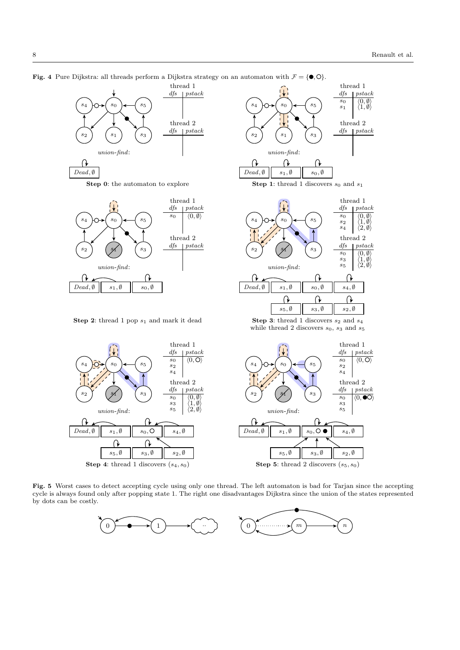<span id="page-7-0"></span>

**Step 0:** the automaton to explore Step 1: thread 1 discovers  $s_0$  and  $s_1$ 



**Step 2:** thread 1 pop  $s_1$  and mark it dead Step 3: thread 1 discovers  $s_2$  and  $s_4$ 





while thread 2 discovers  $s_0$ ,  $s_3$  and  $s_5$ 

 $\langle 0, \mathsf{O} \rangle$ pstack

 $\langle 0, \bullet \overline{O} \rangle$ 



<span id="page-7-1"></span>Fig. 5 Worst cases to detect accepting cycle using only one thread. The left automaton is bad for Tarjan since the accepting cycle is always found only after popping state 1. The right one disadvantages Dijkstra since the union of the states represented by dots can be costly.

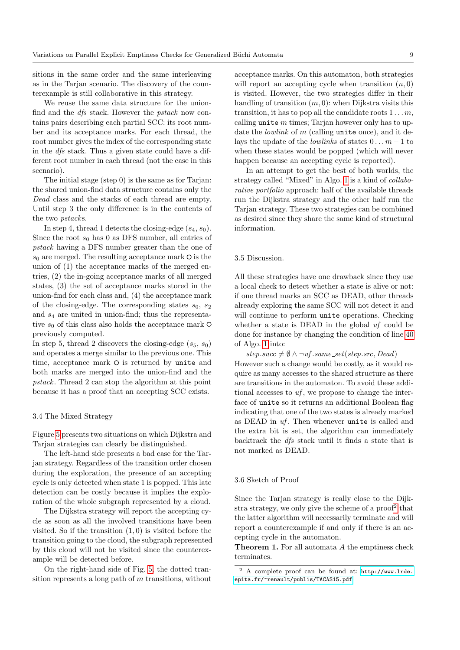sitions in the same order and the same interleaving as in the Tarjan scenario. The discovery of the counterexample is still collaborative in this strategy.

We reuse the same data structure for the unionfind and the dfs stack. However the pstack now contains pairs describing each partial SCC: its root number and its acceptance marks. For each thread, the root number gives the index of the corresponding state in the dfs stack. Thus a given state could have a different root number in each thread (not the case in this scenario).

The initial stage (step 0) is the same as for Tarjan: the shared union-find data structure contains only the Dead class and the stacks of each thread are empty. Until step 3 the only difference is in the contents of the two pstacks.

In step 4, thread 1 detects the closing-edge  $(s_4, s_0)$ . Since the root  $s_0$  has 0 as DFS number, all entries of pstack having a DFS number greater than the one of  $s_0$  are merged. The resulting acceptance mark  $\circ$  is the union of (1) the acceptance marks of the merged entries, (2) the in-going acceptance marks of all merged states, (3) the set of acceptance marks stored in the union-find for each class and, (4) the acceptance mark of the closing-edge. The corresponding states  $s_0$ ,  $s_2$ and  $s_4$  are united in union-find; thus the representative  $s_0$  of this class also holds the acceptance mark  $\circ$ previously computed.

In step 5, thread 2 discovers the closing-edge  $(s_5, s_0)$ and operates a merge similar to the previous one. This time, acceptance mark  $\circ$  is returned by unite and both marks are merged into the union-find and the pstack. Thread 2 can stop the algorithm at this point because it has a proof that an accepting SCC exists.

#### 3.4 The Mixed Strategy

Figure [5](#page-7-1) presents two situations on which Dijkstra and Tarjan strategies can clearly be distinguished.

The left-hand side presents a bad case for the Tarjan strategy. Regardless of the transition order chosen during the exploration, the presence of an accepting cycle is only detected when state 1 is popped. This late detection can be costly because it implies the exploration of the whole subgraph represented by a cloud.

The Dijkstra strategy will report the accepting cycle as soon as all the involved transitions have been visited. So if the transition  $(1,0)$  is visited before the transition going to the cloud, the subgraph represented by this cloud will not be visited since the counterexample will be detected before.

On the right-hand side of Fig. [5,](#page-7-1) the dotted transition represents a long path of  $m$  transitions, without

acceptance marks. On this automaton, both strategies will report an accepting cycle when transition  $(n, 0)$ is visited. However, the two strategies differ in their handling of transition  $(m, 0)$ : when Dijkstra visits this transition, it has to pop all the candidate roots  $1 \ldots m$ , calling unite  $m$  times; Tarjan however only has to update the *lowlink* of  $m$  (calling unite once), and it delays the update of the *lowlinks* of states  $0 \dots m-1$  to when these states would be popped (which will never happen because an accepting cycle is reported).

In an attempt to get the best of both worlds, the strategy called "Mixed" in Algo. [1](#page-3-0) is a kind of collaborative portfolio approach: half of the available threads run the Dijkstra strategy and the other half run the Tarjan strategy. These two strategies can be combined as desired since they share the same kind of structural information.

## 3.5 Discussion.

All these strategies have one drawback since they use a local check to detect whether a state is alive or not: if one thread marks an SCC as DEAD, other threads already exploring the same SCC will not detect it and will continue to perform unite operations. Checking whether a state is DEAD in the global  $uf$  could be done for instance by changing the condition of line [40](#page-3-1) of Algo. [1](#page-3-0) into:

 $step succ \neq \emptyset \land \neg uf.sum \_set (step.src, Dead)$ However such a change would be costly, as it would require as many accesses to the shared structure as there are transitions in the automaton. To avoid these additional accesses to  $uf$ , we propose to change the interface of unite so it returns an additional Boolean flag indicating that one of the two states is already marked as DEAD in  $uf$ . Then whenever unite is called and the extra bit is set, the algorithm can immediately backtrack the dfs stack until it finds a state that is not marked as DEAD.

#### 3.6 Sketch of Proof

Since the Tarjan strategy is really close to the Dijk-stra strategy, we only give the scheme of a proof<sup>[2](#page-8-0)</sup> that the latter algorithm will necessarily terminate and will report a counterexample if and only if there is an accepting cycle in the automaton.

Theorem 1. For all automata A the emptiness check terminates.

<span id="page-8-0"></span><sup>2</sup> A complete proof can be found at: [http://www.lrde.](http://www.lrde.epita.fr/~renault/publis/TACAS15.pdf) [epita.fr/~renault/publis/TACAS15.pdf](http://www.lrde.epita.fr/~renault/publis/TACAS15.pdf)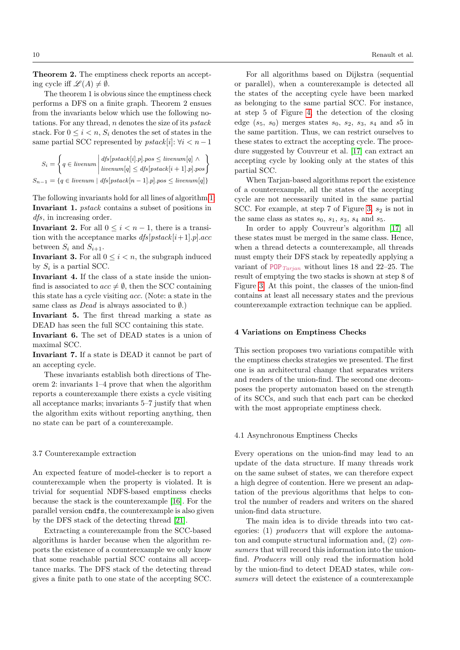Theorem 2. The emptiness check reports an accepting cycle iff  $\mathscr{L}(A) \neq \emptyset$ .

The theorem 1 is obvious since the emptiness check performs a DFS on a finite graph. Theorem 2 ensues from the invariants below which use the following notations. For any thread, n denotes the size of its pstack stack. For  $0 \le i \le n$ ,  $S_i$  denotes the set of states in the same partial SCC represented by  $pstack[i]: \forall i < n-1$ 

$$
S_i = \left\{ q \in \text{livenum} \middle| \text{dfs}[\text{pstack}[i], p] \text{, } pos \leq \text{livenum}[q] \land \right\}
$$

$$
S_{n-1} = \left\{ q \in \text{livenum} \middle| \text{dfs}[\text{pstack}[n-1], p] \text{, } pos \leq \text{livenum}[q] \right\}
$$

The following invariants hold for all lines of algorithm [1:](#page-3-0) Invariant 1. pstack contains a subset of positions in dfs, in increasing order.

Invariant 2. For all  $0 \leq i < n-1$ , there is a transition with the acceptance marks  $dfs[pstack[i+1].p].acc$ between  $S_i$  and  $S_{i+1}$ .

**Invariant 3.** For all  $0 \leq i \leq n$ , the subgraph induced by  $S_i$  is a partial SCC.

Invariant 4. If the class of a state inside the unionfind is associated to  $acc \neq \emptyset$ , then the SCC containing this state has a cycle visiting acc. (Note: a state in the same class as *Dead* is always associated to  $\emptyset$ .)

Invariant 5. The first thread marking a state as DEAD has seen the full SCC containing this state.

Invariant 6. The set of DEAD states is a union of maximal SCC.

Invariant 7. If a state is DEAD it cannot be part of an accepting cycle.

These invariants establish both directions of Theorem 2: invariants 1–4 prove that when the algorithm reports a counterexample there exists a cycle visiting all acceptance marks; invariants 5–7 justify that when the algorithm exits without reporting anything, then no state can be part of a counterexample.

#### <span id="page-9-1"></span>3.7 Counterexample extraction

An expected feature of model-checker is to report a counterexample when the property is violated. It is trivial for sequential NDFS-based emptiness checks because the stack is the counterexample [\[16\]](#page-19-15). For the parallel version cndfs, the counterexample is also given by the DFS stack of the detecting thread [\[21\]](#page-19-9).

Extracting a counterexample from the SCC-based algorithms is harder because when the algorithm reports the existence of a counterexample we only know that some reachable partial SCC contains all acceptance marks. The DFS stack of the detecting thread gives a finite path to one state of the accepting SCC.

For all algorithms based on Dijkstra (sequential or parallel), when a counterexample is detected all the states of the accepting cycle have been marked as belonging to the same partial SCC. For instance, at step 5 of Figure [4,](#page-7-0) the detection of the closing edge  $(s_5, s_0)$  merges states  $s_0, s_2, s_3, s_4$  and  $s_5$  in the same partition. Thus, we can restrict ourselves to these states to extract the accepting cycle. The procedure suggested by Couvreur et al. [\[17\]](#page-19-0) can extract an accepting cycle by looking only at the states of this partial SCC.

When Tarjan-based algorithms report the existence of a counterexample, all the states of the accepting cycle are not necessarily united in the same partial SCC. For example, at step 7 of Figure [3,](#page-5-0)  $s_2$  is not in the same class as states  $s_0$ ,  $s_1$ ,  $s_3$ ,  $s_4$  and  $s_5$ .

In order to apply Couvreur's algorithm [\[17\]](#page-19-0) all these states must be merged in the same class. Hence, when a thread detects a counterexample, all threads must empty their DFS stack by repeatedly applying a variant of POP  $_{Tarjan}$  without lines 18 and 22–25. The result of emptying the two stacks is shown at step 8 of Figure [3.](#page-5-0) At this point, the classes of the union-find contains at least all necessary states and the previous counterexample extraction technique can be applied.

## <span id="page-9-0"></span>4 Variations on Emptiness Checks

This section proposes two variations compatible with the emptiness checks strategies we presented. The first one is an architectural change that separates writers and readers of the union-find. The second one decomposes the property automaton based on the strength of its SCCs, and such that each part can be checked with the most appropriate emptiness check.

## <span id="page-9-2"></span>4.1 Asynchronous Emptiness Checks

Every operations on the union-find may lead to an update of the data structure. If many threads work on the same subset of states, we can therefore expect a high degree of contention. Here we present an adaptation of the previous algorithms that helps to control the number of readers and writers on the shared union-find data structure.

The main idea is to divide threads into two categories: (1) *producers* that will explore the automaton and compute structural information and,  $(2)$  consumers that will record this information into the unionfind. Producers will only read the information hold by the union-find to detect DEAD states, while consumers will detect the existence of a counterexample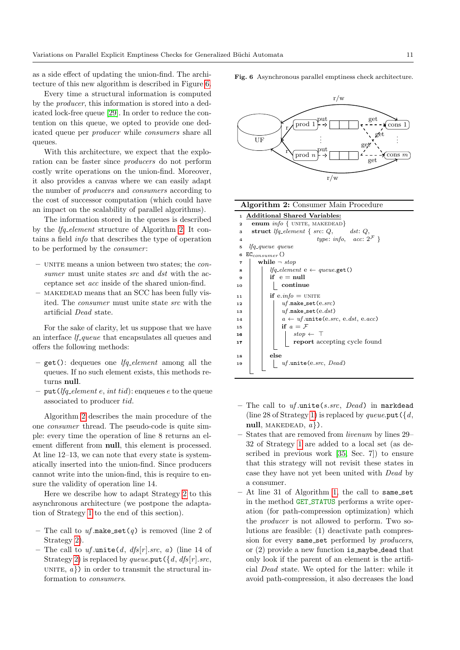as a side effect of updating the union-find. The architecture of this new algorithm is described in Figure [6.](#page-10-0)

Every time a structural information is computed by the producer, this information is stored into a dedicated lock-free queue [\[29\]](#page-20-13). In order to reduce the contention on this queue, we opted to provide one dedicated queue per producer while consumers share all queues.

With this architecture, we expect that the exploration can be faster since producers do not perform costly write operations on the union-find. Moreover, it also provides a canvas where we can easily adapt the number of producers and consumers according to the cost of successor computation (which could have an impact on the scalability of parallel algorithms).

The information stored in the queues is described by the lfq element structure of Algorithm [2.](#page-6-0) It contains a field info that describes the type of operation to be performed by the *consumer*:

- $-$  UNITE means a union between two states; the  $con$ sumer must unite states src and dst with the acceptance set acc inside of the shared union-find.
- makedead means that an SCC has been fully visited. The consumer must unite state src with the artificial Dead state.

For the sake of clarity, let us suppose that we have an interface *lf\_queue* that encapsulates all queues and offers the following methods:

- $-$  get(): dequeues one *lfg\_element* among all the queues. If no such element exists, this methods returns null.
- put (*lfq element e, int tid*): enqueues e to the queue associated to producer tid.

Algorithm [2](#page-6-0) describes the main procedure of the one consumer thread. The pseudo-code is quite simple: every time the operation of line 8 returns an element different from null, this element is processed. At line  $12-13$ , we can note that every state is systematically inserted into the union-find. Since producers cannot write into the union-find, this is require to ensure the validity of operation line 14.

Here we describe how to adapt Strategy [2](#page-6-0) to this asynchronous architecture (we postpone the adaptation of Strategy [1](#page-3-0) to the end of this section).

- The call to  $uf.\texttt{make}\_\texttt{set}(q)$  is removed (line 2 of Strategy [2\)](#page-6-0).
- The call to  $uf.\text{unite}(d, dfs[r].src, a)$  (line 14 of Strategy [2\)](#page-6-0) is replaced by queue.put  $({d, dfs[r].src},$ UNITE,  $a$ }) in order to transmit the structural information to consumers.

<span id="page-10-0"></span>Fig. 6 Asynchronous parallel emptiness check architecture.



|                         | Algorithm 2: Consumer Main Procedure               |  |  |  |  |  |  |  |
|-------------------------|----------------------------------------------------|--|--|--|--|--|--|--|
| $\mathbf{1}$            | <b>Additional Shared Variables:</b>                |  |  |  |  |  |  |  |
| $\mathbf{z}$            | <b>enum</b> $info \{ UNITE, MAKEDEAD \}$           |  |  |  |  |  |  |  |
| 3                       | struct <i>lfq_element</i> { $src: Q$ , $dst: Q$ ,  |  |  |  |  |  |  |  |
| 4                       | type: info, $acc: 2^{\mathcal{F}}$                 |  |  |  |  |  |  |  |
| 5                       | <i>lfq_queue queue</i>                             |  |  |  |  |  |  |  |
| 6                       | $EC_{consumer}()$                                  |  |  |  |  |  |  |  |
| $\overline{\mathbf{r}}$ | while $\neg$ stop                                  |  |  |  |  |  |  |  |
| 8                       | <i>lfg_element</i> $e \leftarrow queue.get()$      |  |  |  |  |  |  |  |
| 9                       | if $e = null$                                      |  |  |  |  |  |  |  |
| 10                      | continue                                           |  |  |  |  |  |  |  |
| 11                      | if $e.info = UNITE$                                |  |  |  |  |  |  |  |
| 12                      | $uf$ .make_set $(exrc)$                            |  |  |  |  |  |  |  |
| 13                      | $uf$ .make_set(e. $dst)$                           |  |  |  |  |  |  |  |
| 14                      | $a \leftarrow uf.\text{unite}(e.src, e.dst, e.ac)$ |  |  |  |  |  |  |  |
| 15                      | if $a = F$                                         |  |  |  |  |  |  |  |
| 16                      | $stop \leftarrow \top$                             |  |  |  |  |  |  |  |
| 17                      | report accepting cycle found                       |  |  |  |  |  |  |  |
|                         |                                                    |  |  |  |  |  |  |  |
| 18                      | else                                               |  |  |  |  |  |  |  |
| 19                      | $uf.\text{unite}(e.src, Dead)$                     |  |  |  |  |  |  |  |
|                         |                                                    |  |  |  |  |  |  |  |

- The call to  $uf.\text{unite}(s.src, Dead)$  in markdead (line 28 of Strategy [1\)](#page-3-0) is replaced by queue.put  $({d,$ null, MAKEDEAD,  $a$ .
- States that are removed from livenum by lines 29– 32 of Strategy [1](#page-3-0) are added to a local set (as described in previous work [\[35,](#page-20-1) Sec. 7]) to ensure that this strategy will not revisit these states in case they have not yet been united with Dead by a consumer.
- At line 31 of Algorithm [1,](#page-3-0) the call to same set in the method GET STATUS performs a write operation (for path-compression optimization) which the producer is not allowed to perform. Two solutions are feasible: (1) deactivate path compression for every same\_set performed by *producers*, or (2) provide a new function is maybe dead that only look if the parent of an element is the artificial Dead state. We opted for the latter: while it avoid path-compression, it also decreases the load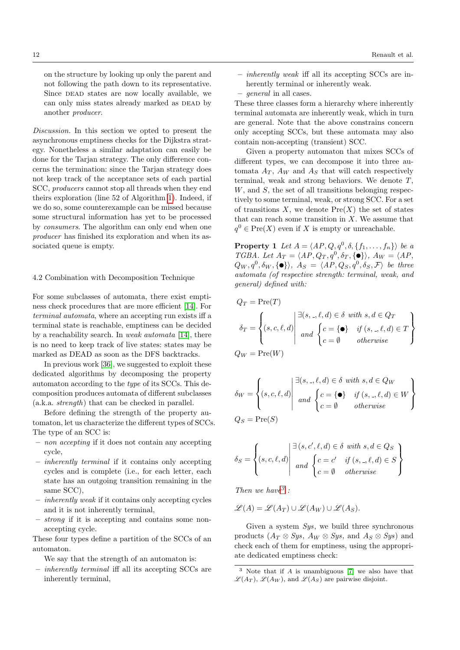on the structure by looking up only the parent and not following the path down to its representative. Since DEAD states are now locally available, we can only miss states already marked as DEAD by another producer.

Discussion. In this section we opted to present the asynchronous emptiness checks for the Dijkstra strategy. Nonetheless a similar adaptation can easily be done for the Tarjan strategy. The only difference concerns the termination: since the Tarjan strategy does not keep track of the acceptance sets of each partial SCC, producers cannot stop all threads when they end theirs exploration (line 52 of Algorithm [1\)](#page-3-0). Indeed, if we do so, some counterexample can be missed because some structural information has yet to be processed by consumers. The algorithm can only end when one producer has finished its exploration and when its associated queue is empty.

## <span id="page-11-1"></span>4.2 Combination with Decomposition Technique

For some subclasses of automata, there exist emptiness check procedures that are more efficient [\[14\]](#page-19-16). For terminal automata, where an accepting run exists iff a terminal state is reachable, emptiness can be decided by a reachability search. In weak automata [\[14\]](#page-19-16), there is no need to keep track of live states: states may be marked as DEAD as soon as the DFS backtracks.

In previous work [\[36\]](#page-20-10), we suggested to exploit these dedicated algorithms by decomposing the property automaton according to the type of its SCCs. This decomposition produces automata of different subclasses (a.k.a. strength) that can be checked in parallel.

Before defining the strength of the property automaton, let us characterize the different types of SCCs. The type of an SCC is:

- non accepting if it does not contain any accepting cycle,
- inherently terminal if it contains only accepting cycles and is complete (i.e., for each letter, each state has an outgoing transition remaining in the same SCC),
- inherently weak if it contains only accepting cycles and it is not inherently terminal,
- strong if it is accepting and contains some nonaccepting cycle.

These four types define a partition of the SCCs of an automaton.

We say that the strength of an automaton is:

– inherently terminal iff all its accepting SCCs are inherently terminal,

- inherently weak iff all its accepting SCCs are inherently terminal or inherently weak.
- general in all cases.

These three classes form a hierarchy where inherently terminal automata are inherently weak, which in turn are general. Note that the above constrains concern only accepting SCCs, but these automata may also contain non-accepting (transient) SCC.

Given a property automaton that mixes SCCs of different types, we can decompose it into three automata  $A_T$ ,  $A_W$  and  $A_S$  that will catch respectively terminal, weak and strong behaviors. We denote  $T$ ,  $W$ , and  $S$ , the set of all transitions belonging respectively to some terminal, weak, or strong SCC. For a set of transitions  $X$ , we denote  $Pre(X)$  the set of states that can reach some transition in  $X$ . We assume that  $q^0 \in Pre(X)$  even if X is empty or unreachable.

**Property 1** Let  $A = \langle AP, Q, q^0, \delta, \{f_1, \ldots, f_n\}\rangle$  be a TGBA. Let  $A_T = \langle AP, Q_T, q^0, \delta_T, \{\bullet\} \rangle$ ,  $A_W = \langle AP,$  $Q_W, q^0, \delta_W, \{\bullet\} \rangle$ ,  $A_S = \langle AP, Q_S, q^0, \delta_S, \mathcal{F} \rangle$  be three automata (of respective strength: terminal, weak, and general) defined with:

$$
Q_T = \text{Pre}(T)
$$
  
\n
$$
\delta_T = \begin{cases} (s, c, \ell, d) \mid \exists (s, \_, \ell, d) \in \delta \text{ with } s, d \in Q_T \\ (s, c, \ell, d) \mid \text{ and } \begin{cases} c = \{ \bullet \} & \text{if } (s, \_, \ell, d) \in T \\ c = \emptyset & \text{otherwise} \end{cases} \end{cases}
$$
  
\n
$$
Q_W = \text{Pre}(W)
$$

$$
\delta_W = \left\{ (s, c, \ell, d) \middle| \begin{aligned} &\exists (s, \_, \ell, d) \in \delta \text{ with } s, d \in Q_W \\ ∧ \left\{ c = \{\bullet\} \quad \text{if } (s, \_, \ell, d) \in W \\ &c = \emptyset \quad \text{otherwise} \end{aligned} \right\}
$$

$$
Q_S = \text{Pre}(S)
$$

$$
\delta_S = \left\{ (s, c, \ell, d) \middle| \begin{array}{l} \exists (s, c', \ell, d) \in \delta \text{ with } s, d \in Q_S \\ \text{and } \begin{cases} c = c' & \text{if } (s, \ell, d) \in S \\ c = \emptyset & \text{otherwise} \end{cases} \end{array} \right\}
$$

Then we have  $3$ :

$$
\mathscr{L}(A) = \mathscr{L}(A_T) \cup \mathscr{L}(A_W) \cup \mathscr{L}(A_S).
$$

Given a system Sys, we build three synchronous products  $(A_T \otimes Sys, A_W \otimes Sys, \text{ and } A_S \otimes Sys)$  and check each of them for emptiness, using the appropriate dedicated emptiness check:

<span id="page-11-0"></span><sup>3</sup> Note that if A is unambiguous [\[7\]](#page-19-17) we also have that  $\mathscr{L}(A_T)$ ,  $\mathscr{L}(A_W)$ , and  $\mathscr{L}(A_S)$  are pairwise disjoint.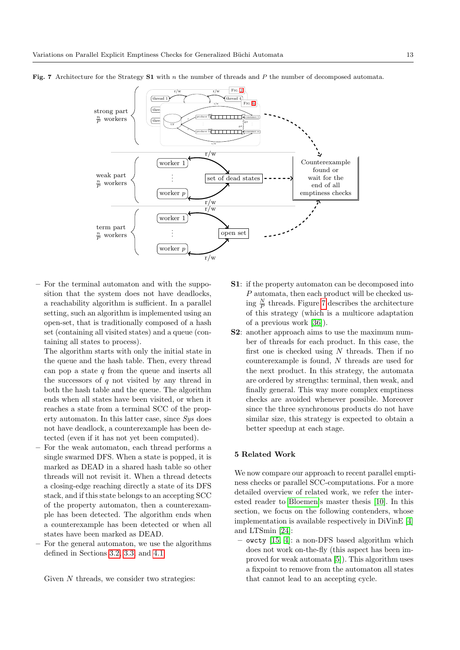

<span id="page-12-1"></span>Fig. 7 Architecture for the Strategy S1 with n the number of threads and P the number of decomposed automata.

- For the terminal automaton and with the supposition that the system does not have deadlocks, a reachability algorithm is sufficient. In a parallel setting, such an algorithm is implemented using an open-set, that is traditionally composed of a hash set (containing all visited states) and a queue (containing all states to process).
	- The algorithm starts with only the initial state in the queue and the hash table. Then, every thread can pop a state  $q$  from the queue and inserts all the successors of  $q$  not visited by any thread in both the hash table and the queue. The algorithm ends when all states have been visited, or when it reaches a state from a terminal SCC of the property automaton. In this latter case, since Sys does not have deadlock, a counterexample has been detected (even if it has not yet been computed).
- For the weak automaton, each thread performs a single swarmed DFS. When a state is popped, it is marked as DEAD in a shared hash table so other threads will not revisit it. When a thread detects a closing-edge reaching directly a state of its DFS stack, and if this state belongs to an accepting SCC of the property automaton, then a counterexample has been detected. The algorithm ends when a counterexample has been detected or when all states have been marked as DEAD.
- For the general automaton, we use the algorithms defined in Sections [3.2,](#page-4-1) [3.3,](#page-6-3) and [4.1.](#page-9-2)

Given  $N$  threads, we consider two strategies:

- **S1**: if the property automaton can be decomposed into P automata, then each product will be checked using  $\frac{N}{P}$  threads. Figure [7](#page-12-1) describes the architecture of this strategy (which is a multicore adaptation of a previous work [\[36\]](#page-20-10)).
- S2: another approach aims to use the maximum number of threads for each product. In this case, the first one is checked using  $N$  threads. Then if no counterexample is found, N threads are used for the next product. In this strategy, the automata are ordered by strengths: terminal, then weak, and finally general. This way more complex emptiness checks are avoided whenever possible. Moreover since the three synchronous products do not have similar size, this strategy is expected to obtain a better speedup at each stage.

#### <span id="page-12-0"></span>5 Related Work

We now compare our approach to recent parallel emptiness checks or parallel SCC-computations. For a more detailed overview of related work, we refer the interested reader to [Bloemen'](#page-19-10)s master thesis [\[10\]](#page-19-10). In this section, we focus on the following contenders, whose implementation is available respectively in DiVinE [\[4\]](#page-19-18) and LTSmin [\[24\]](#page-20-14):

– owcty [\[15,](#page-19-3) [4\]](#page-19-18): a non-DFS based algorithm which does not work on-the-fly (this aspect has been improved for weak automata [\[5\]](#page-19-6)). This algorithm uses a fixpoint to remove from the automaton all states that cannot lead to an accepting cycle.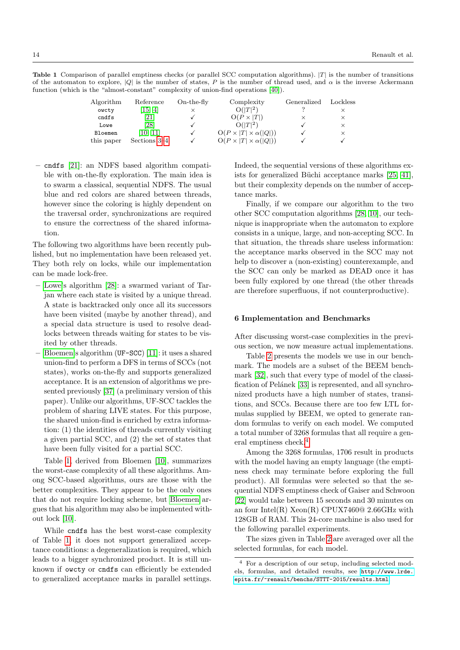<span id="page-13-1"></span>**Table 1** Comparison of parallel emptiness checks (or parallel SCC computation algorithms).  $|T|$  is the number of transitions of the automaton to explore, |Q| is the number of states, P is the number of thread used, and  $\alpha$  is the inverse Ackermann function (which is the "almost-constant" complexity of union-find operations [\[40\]](#page-20-8)).

| Algorithm  | Reference          | $On$ -the-fly | Complexity                           | Generalized | Lockless |
|------------|--------------------|---------------|--------------------------------------|-------------|----------|
| owcty      | [15, 4]            |               | $O( T ^2)$                           |             |          |
| cndfs      | $\left[ 21\right]$ |               | $O(P \times  T )$                    | ×           | $\times$ |
| Lowe       | [28]               |               | $O( T ^2)$                           |             |          |
| Bloemen    | [10, 11]           |               | $O(P \times  T  \times \alpha( Q ))$ |             |          |
| this paper | Sections 3-4       |               | $O(P \times  T  \times \alpha( Q ))$ |             |          |

– cndfs [\[21\]](#page-19-9): an NDFS based algorithm compatible with on-the-fly exploration. The main idea is to swarm a classical, sequential NDFS. The usual blue and red colors are shared between threads, however since the coloring is highly dependent on the traversal order, synchronizations are required to ensure the correctness of the shared information.

The following two algorithms have been recently published, but no implementation have been released yet. They both rely on locks, while our implementation can be made lock-free.

- [Lowe'](#page-20-6)s algorithm [\[28\]](#page-20-6): a swarmed variant of Tarjan where each state is visited by a unique thread. A state is backtracked only once all its successors have been visited (maybe by another thread), and a special data structure is used to resolve deadlocks between threads waiting for states to be visited by other threads.
- [Bloemen'](#page-19-10)s algorithm (UF-SCC) [\[11\]](#page-19-11): it uses a shared union-find to perform a DFS in terms of SCCs (not states), works on-the-fly and supports generalized acceptance. It is an extension of algorithms we presented previously [\[37\]](#page-20-7) (a preliminary version of this paper). Unlike our algorithms, UF-SCC tackles the problem of sharing LIVE states. For this purpose, the shared union-find is enriched by extra information: (1) the identities of threads currently visiting a given partial SCC, and (2) the set of states that have been fully visited for a partial SCC.

Table [1,](#page-13-1) derived from Bloemen [\[10\]](#page-19-10), summarizes the worst-case complexity of all these algorithms. Among SCC-based algorithms, ours are those with the better complexities. They appear to be the only ones that do not require locking scheme, but [Bloemen](#page-19-10) argues that his algorithm may also be implemented without lock [\[10\]](#page-19-10).

While cndfs has the best worst-case complexity of Table [1,](#page-13-1) it does not support generalized acceptance conditions: a degeneralization is required, which leads to a bigger synchronized product. It is still unknown if owcty or cndfs can efficiently be extended to generalized acceptance marks in parallel settings. Indeed, the sequential versions of these algorithms ex-ists for generalized Büchi acceptance marks [\[25,](#page-20-15) [41\]](#page-20-16), but their complexity depends on the number of acceptance marks.

Finally, if we compare our algorithm to the two other SCC computation algorithms [\[28,](#page-20-6) [10\]](#page-19-10), our technique is inappropriate when the automaton to explore consists in a unique, large, and non-accepting SCC. In that situation, the threads share useless information: the acceptance marks observed in the SCC may not help to discover a (non-existing) counterexample, and the SCC can only be marked as DEAD once it has been fully explored by one thread (the other threads are therefore superfluous, if not counterproductive).

## <span id="page-13-0"></span>6 Implementation and Benchmarks

After discussing worst-case complexities in the previous section, we now measure actual implementations.

Table [2](#page-14-0) presents the models we use in our benchmark. The models are a subset of the BEEM benchmark [\[32\]](#page-20-17), such that every type of model of the classi-fication of Pelánek [\[33\]](#page-20-18) is represented, and all synchronized products have a high number of states, transitions, and SCCs. Because there are too few LTL formulas supplied by BEEM, we opted to generate random formulas to verify on each model. We computed a total number of 3268 formulas that all require a general emptiness check.[4](#page-13-2)

Among the 3268 formulas, 1706 result in products with the model having an empty language (the emptiness check may terminate before exploring the full product). All formulas were selected so that the sequential NDFS emptiness check of Gaiser and Schwoon [\[22\]](#page-19-19) would take between 15 seconds and 30 minutes on an four Intel(R)  $Xeon(R)$  CPUX7460 $@$  2.66GHz with 128GB of RAM. This 24-core machine is also used for the following parallel experiments.

The sizes given in Table [2](#page-14-0) are averaged over all the selected formulas, for each model.

<span id="page-13-2"></span><sup>4</sup> For a description of our setup, including selected models, formulas, and detailed results, see [http://www.lrde.](http://www.lrde.epita.fr/~renault/benchs/STTT-2015/results.html) [epita.fr/~renault/benchs/STTT-2015/results.html](http://www.lrde.epita.fr/~renault/benchs/STTT-2015/results.html).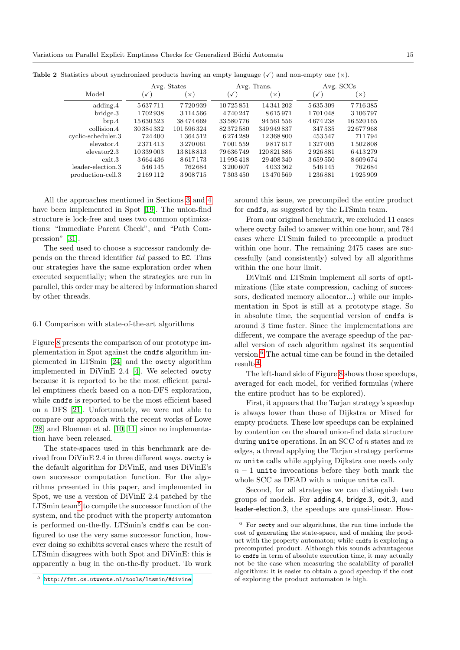<span id="page-14-0"></span>

|                    | Avg. States    |               | Avg. Trans.  |               | Avg. SCCs    |           |
|--------------------|----------------|---------------|--------------|---------------|--------------|-----------|
| Model              | $\checkmark$ ) | $\times$      | $\checkmark$ | $\times$      | $\checkmark$ | $\times$  |
| adding.4           | 5637711        | 7720939       | 10725851     | 14 341 202    | 5635309      | 7716385   |
| bridge.3           | 1702938        | 3 1 1 4 5 6 6 | 4740247      | 8615971       | 1701048      | 3 106 797 |
| $_{\text{brp.4}}$  | 15 630 523     | 38474669      | 33 580 776   | 94 561 556    | 4674238      | 16520165  |
| collision.4        | 30 384 332     | 101 596 324   | 82372580     | 349949837     | 347535       | 22677968  |
| cyclic-scheduler.3 | 724 400        | 1364512       | 6274289      | 12 368 800    | 453547       | 711794    |
| elevator.4         | 2371413        | 3270061       | 7001559      | 9817617       | 1327005      | 1502808   |
| $e$ levator $2.3$  | 10 339 003     | 13818813      | 79636749     | 120 821 886   | 2926881      | 6413279   |
| ext.3              | 3664436        | 8617173       | 11995418     | 29 408 340    | 3659550      | 8609674   |
| leader-election.3  | 546 145        | 762684        | 3200607      | 4 0 3 3 3 6 2 | 546145       | 762684    |
| production-cell.3  | 2 169 112      | 3908715       | 7303450      | 13470569      | 1236881      | 1925909   |

**Table 2** Statistics about synchronized products having an empty language  $(\checkmark)$  and non-empty one  $(\checkmark)$ .

All the approaches mentioned in Sections [3](#page-1-1) and [4](#page-9-0) have been implemented in Spot [\[19\]](#page-19-20). The union-find structure is lock-free and uses two common optimizations: "Immediate Parent Check", and "Path Compression" [\[31\]](#page-20-9).

The seed used to choose a successor randomly depends on the thread identifier tid passed to EC. Thus our strategies have the same exploration order when executed sequentially; when the strategies are run in parallel, this order may be altered by information shared by other threads.

#### <span id="page-14-3"></span>6.1 Comparison with state-of-the-art algorithms

Figure [8](#page-15-0) presents the comparison of our prototype implementation in Spot against the cndfs algorithm implemented in LTSmin [\[24\]](#page-20-14) and the owcty algorithm implemented in DiVinE 2.4 [\[4\]](#page-19-18). We selected owcty because it is reported to be the most efficient parallel emptiness check based on a non-DFS exploration, while cndfs is reported to be the most efficient based on a DFS [\[21\]](#page-19-9). Unfortunately, we were not able to compare our approach with the recent works of Lowe [\[28\]](#page-20-6) and Bloemen et al. [\[10,](#page-19-10) [11\]](#page-19-11) since no implementation have been released.

The state-spaces used in this benchmark are derived from DiVinE 2.4 in three different ways. owcty is the default algorithm for DiVinE, and uses DiVinE's own successor computation function. For the algorithms presented in this paper, and implemented in Spot, we use a version of DiVinE 2.4 patched by the LTSmin team<sup>[5](#page-14-1)</sup> to compile the successor function of the system, and the product with the property automaton is performed on-the-fly. LTSmin's cndfs can be configured to use the very same successor function, however doing so exhibits several cases where the result of LTSmin disagrees with both Spot and DiVinE: this is apparently a bug in the on-the-fly product. To work

around this issue, we precompiled the entire product for cndfs, as suggested by the LTSmin team.

From our original benchmark, we excluded 11 cases where owcty failed to answer within one hour, and 784 cases where LTSmin failed to precompile a product within one hour. The remaining 2475 cases are successfully (and consistently) solved by all algorithms within the one hour limit.

DiVinE and LTSmin implement all sorts of optimizations (like state compression, caching of successors, dedicated memory allocator...) while our implementation in Spot is still at a prototype stage. So in absolute time, the sequential version of cndfs is around 3 time faster. Since the implementations are different, we compare the average speedup of the parallel version of each algorithm against its sequential version.[6](#page-14-2) The actual time can be found in the detailed  $results<sup>4</sup>.$  $results<sup>4</sup>.$  $results<sup>4</sup>.$ 

The left-hand side of Figure [8](#page-15-0) shows those speedups, averaged for each model, for verified formulas (where the entire product has to be explored).

First, it appears that the Tarjan strategy's speedup is always lower than those of Dijkstra or Mixed for empty products. These low speedups can be explained by contention on the shared union-find data structure during unite operations. In an SCC of  $n$  states and  $m$ edges, a thread applying the Tarjan strategy performs  $m$  unite calls while applying Dijkstra one needs only  $n-1$  unite invocations before they both mark the whole SCC as DEAD with a unique unite call.

Second, for all strategies we can distinguish two groups of models. For adding.4, bridge.3, exit.3, and leader-election.3, the speedups are quasi-linear. How-

<span id="page-14-1"></span><sup>5</sup> <http://fmt.cs.utwente.nl/tools/ltsmin/#divine>

<span id="page-14-2"></span> $6$  For owcty and our algorithms, the run time include the cost of generating the state-space, and of making the product with the property automaton; while cndfs is exploring a precomputed product. Although this sounds advantageous to cndfs in term of absolute execution time, it may actually not be the case when measuring the scalability of parallel algorithms: it is easier to obtain a good speedup if the cost of exploring the product automaton is high.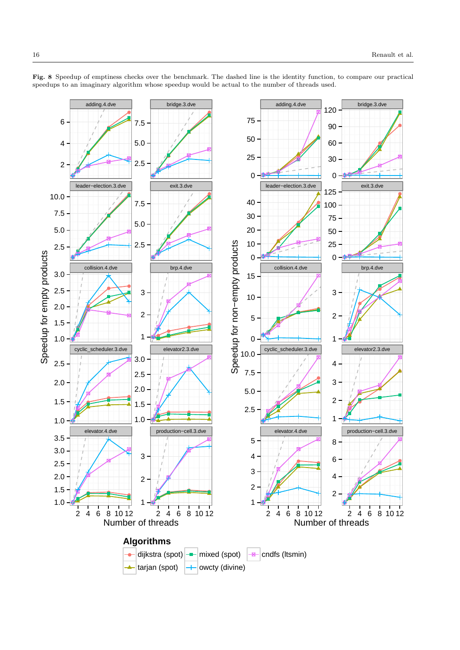

<span id="page-15-0"></span>Fig. 8 Speedup of emptiness checks over the benchmark. The dashed line is the identity function, to compare our practical speedups to an imaginary algorithm whose speedup would be actual to the number of threads used.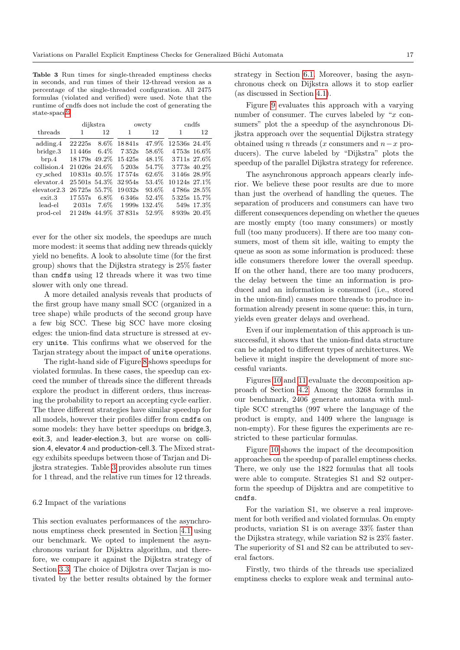<span id="page-16-0"></span>Table 3 Run times for single-threaded emptiness checks in seconds, and run times of their 12-thread version as a percentage of the single-threaded configuration. All 2475 formulas (violated and verified) were used. Note that the runtime of cndfs does not include the cost of generating the state-space<sup>[6](#page-0-0)</sup>.

|                   | dijkstra          |         | owcty  |               | cndfs         |               |
|-------------------|-------------------|---------|--------|---------------|---------------|---------------|
| threads           | 1                 | 12      | 1      | 12            | 1             | 12            |
| adding.4          | 22 225s           | $8.6\%$ | 18841s | 47.9%         | 12536s 24.4%  |               |
| bridge.3          | 11446s            | $6.4\%$ | 7.352s | 58.6%         |               | $4753s$ 16.6% |
| $_{\text{brp.4}}$ | 18 179s 49.2%     |         | 15425s | 48.1%         |               | 3711s 27.6%   |
| collision.4       | 21 026s 24.6\%    |         | 5203s  | 54.7%         |               | 3773s 40.2\%  |
| cy_sched          | 10831s 40.5%      |         | 17574s | 62.6%         | 3146s 28.9%   |               |
| elevator.4        | 25 501s 54.3%     |         | 32954s | 53.4%         | 10 124s 27.1% |               |
| elevator2.3       | 26 725s 55.7%     |         | 19032s | 93.6%         | 4786s 28.5%   |               |
| ext.3             | 17557s            | $6.8\%$ | 6.346s | 52.4%         |               | 5325s 15.7%   |
| lead-el           | 2031 <sub>s</sub> | $7.6\%$ |        | 1999s 132.4\% |               | 549s 17.3%    |
| prod-cel          | 21 249s           | 44.9%   | 37831s | 52.9%         |               | 8939s 20.4\%  |

ever for the other six models, the speedups are much more modest: it seems that adding new threads quickly yield no benefits. A look to absolute time (for the first group) shows that the Dijkstra strategy is 25% faster than cndfs using 12 threads where it was two time slower with only one thread.

A more detailed analysis reveals that products of the first group have many small SCC (organized in a tree shape) while products of the second group have a few big SCC. These big SCC have more closing edges: the union-find data structure is stressed at every unite. This confirms what we observed for the Tarjan strategy about the impact of unite operations.

The right-hand side of Figure [8](#page-15-0) shows speedups for violated formulas. In these cases, the speedup can exceed the number of threads since the different threads explore the product in different orders, thus increasing the probability to report an accepting cycle earlier. The three different strategies have similar speedup for all models, however their profiles differ from cndfs on some models: they have better speedups on bridge.3, exit.3, and leader-election.3, but are worse on collision.4, elevator.4 and production-cell.3. The Mixed strategy exhibits speedups between those of Tarjan and Dijkstra strategies. Table [3](#page-16-0) provides absolute run times for 1 thread, and the relative run times for 12 threads.

## 6.2 Impact of the variations

This section evaluates performances of the asynchronous emptiness check presented in Section [4.1](#page-9-2) using our benchmark. We opted to implement the asynchronous variant for Dijsktra algorithm, and therefore, we compare it against the Dijkstra strategy of Section [3.3.](#page-6-3) The choice of Dijkstra over Tarjan is motivated by the better results obtained by the former strategy in Section [6.1.](#page-14-3) Moreover, basing the asynchronous check on Dijkstra allows it to stop earlier (as discussed in Section [4.1\)](#page-9-2).

Figure [9](#page-17-0) evaluates this approach with a varying number of consumer. The curves labeled by " $x$  consumers" plot the a speedup of the asynchronous Dijkstra approach over the sequential Dijkstra strategy obtained using n threads (x consumers and  $n-x$  producers). The curve labeled by "Dijkstra" plots the speedup of the parallel Dijkstra strategy for reference.

The asynchronous approach appears clearly inferior. We believe these poor results are due to more than just the overhead of handling the queues. The separation of producers and consumers can have two different consequences depending on whether the queues are mostly empty (too many consumers) or mostly full (too many producers). If there are too many consumers, most of them sit idle, waiting to empty the queue as soon as some information is produced: these idle consumers therefore lower the overall speedup. If on the other hand, there are too many producers, the delay between the time an information is produced and an information is consumed (i.e., stored in the union-find) causes more threads to produce information already present in some queue: this, in turn, yields even greater delays and overhead.

Even if our implementation of this approach is unsuccessful, it shows that the union-find data structure can be adapted to different types of architectures. We believe it might inspire the development of more successful variants.

Figures [10](#page-17-1) and [11](#page-18-0) evaluate the decomposition approach of Section [4.2.](#page-11-1) Among the 3268 formulas in our benchmark, 2406 generate automata with multiple SCC strengths (997 where the language of the product is empty, and 1409 where the language is non-empty). For these figures the experiments are restricted to these particular formulas.

Figure [10](#page-17-1) shows the impact of the decomposition approaches on the speedup of parallel emptiness checks. There, we only use the 1822 formulas that all tools were able to compute. Strategies S1 and S2 outperform the speedup of Dijsktra and are competitive to cndfs.

For the variation S1, we observe a real improvement for both verified and violated formulas. On empty products, variation S1 is on average 33% faster than the Dijkstra strategy, while variation S2 is 23% faster. The superiority of S1 and S2 can be attributed to several factors.

Firstly, two thirds of the threads use specialized emptiness checks to explore weak and terminal auto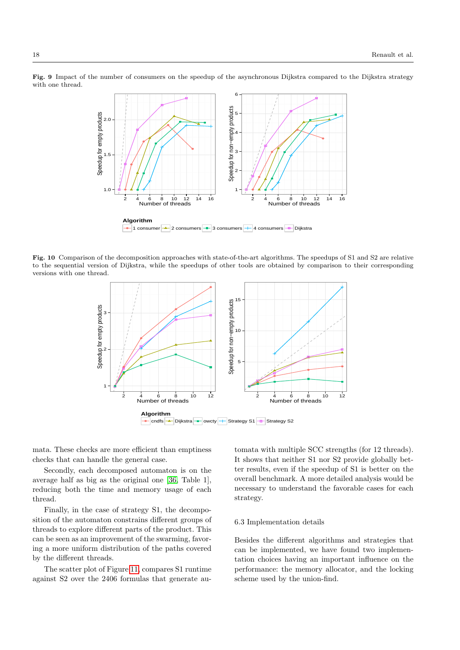<span id="page-17-0"></span>Fig. 9 Impact of the number of consumers on the speedup of the asynchronous Dijkstra compared to the Dijkstra strategy with one thread.



<span id="page-17-1"></span>Fig. 10 Comparison of the decomposition approaches with state-of-the-art algorithms. The speedups of S1 and S2 are relative to the sequential version of Dijkstra, while the speedups of other tools are obtained by comparison to their corresponding versions with one thread.



mata. These checks are more efficient than emptiness checks that can handle the general case.

Secondly, each decomposed automaton is on the average half as big as the original one [\[36,](#page-20-10) Table 1], reducing both the time and memory usage of each thread.

Finally, in the case of strategy S1, the decomposition of the automaton constrains different groups of threads to explore different parts of the product. This can be seen as an improvement of the swarming, favoring a more uniform distribution of the paths covered by the different threads.

The scatter plot of Figure [11,](#page-18-0) compares S1 runtime against S2 over the 2406 formulas that generate au-

tomata with multiple SCC strengths (for 12 threads). It shows that neither S1 nor S2 provide globally better results, even if the speedup of S1 is better on the overall benchmark. A more detailed analysis would be necessary to understand the favorable cases for each strategy.

## 6.3 Implementation details

Besides the different algorithms and strategies that can be implemented, we have found two implementation choices having an important influence on the performance: the memory allocator, and the locking scheme used by the union-find.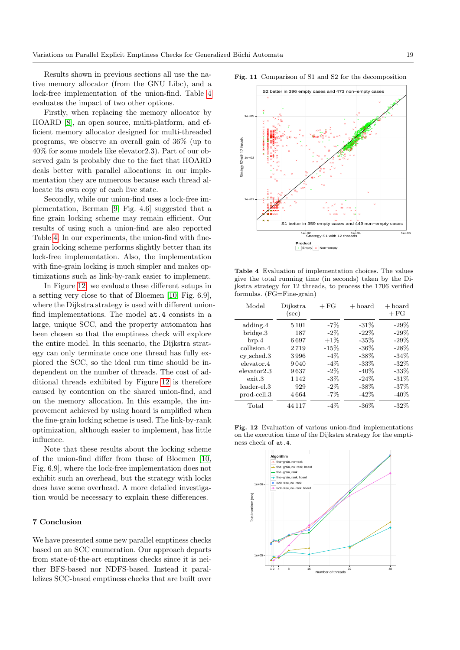Results shown in previous sections all use the native memory allocator (from the GNU Libc), and a lock-free implementation of the union-find. Table [4](#page-18-1) evaluates the impact of two other options.

Firstly, when replacing the memory allocator by HOARD [\[8\]](#page-19-21), an open source, multi-platform, and efficient memory allocator designed for multi-threaded programs, we observe an overall gain of 36% (up to 40% for some models like elevator2.3). Part of our observed gain is probably due to the fact that HOARD deals better with parallel allocations: in our implementation they are numerous because each thread allocate its own copy of each live state.

Secondly, while our union-find uses a lock-free implementation, Berman [\[9,](#page-19-14) Fig. 4.6] suggested that a fine grain locking scheme may remain efficient. Our results of using such a union-find are also reported Table [4.](#page-18-1) In our experiments, the union-find with finegrain locking scheme performs slightly better than its lock-free implementation. Also, the implementation with fine-grain locking is much simpler and makes optimizations such as link-by-rank easier to implement.

In Figure [12,](#page-18-2) we evaluate these different setups in a setting very close to that of Bloemen [\[10,](#page-19-10) Fig. 6.9], where the Dijkstra strategy is used with different unionfind implementations. The model at.4 consists in a large, unique SCC, and the property automaton has been chosen so that the emptiness check will explore the entire model. In this scenario, the Dijkstra strategy can only terminate once one thread has fully explored the SCC, so the ideal run time should be independent on the number of threads. The cost of additional threads exhibited by Figure [12](#page-18-2) is therefore caused by contention on the shared union-find, and on the memory allocation. In this example, the improvement achieved by using hoard is amplified when the fine-grain locking scheme is used. The link-by-rank optimization, although easier to implement, has little influence.

Note that these results about the locking scheme of the union-find differ from those of Bloemen [\[10,](#page-19-10) Fig. 6.9], where the lock-free implementation does not exhibit such an overhead, but the strategy with locks does have some overhead. A more detailed investigation would be necessary to explain these differences.

## 7 Conclusion

We have presented some new parallel emptiness checks based on an SCC enumeration. Our approach departs from state-of-the-art emptiness checks since it is neither BFS-based nor NDFS-based. Instead it parallelizes SCC-based emptiness checks that are built over



<span id="page-18-0"></span>

<span id="page-18-1"></span>Table 4 Evaluation of implementation choices. The values give the total running time (in seconds) taken by the Dijkstra strategy for 12 threads, to process the 1706 verified formulas. (FG=Fine-grain)

| Model          | Dijkstra<br>$(\sec)$ | $+FG$  | $+$ hoard | $+$ hoard<br>$+FG$ |
|----------------|----------------------|--------|-----------|--------------------|
| adding.4       | 5 1 0 1              | $-7\%$ | $-31\%$   | $-29\%$            |
| bridge.3       | 187                  | $-2\%$ | $-22\%$   | $-29%$             |
| $_{\rm brp.4}$ | 6697                 | $+1\%$ | $-35%$    | $-29%$             |
| collision.4    | 2719                 | $-15%$ | $-36\%$   | $-28%$             |
| $cy\_sched.3$  | 3996                 | $-4\%$ | $-38\%$   | $-34%$             |
| elevator.4     | 9040                 | $-4\%$ | $-33\%$   | $-32\%$            |
| elevator2.3    | 9637                 | $-2\%$ | $-40\%$   | $-33\%$            |
| ext.3          | 1 1 4 2              | $-3\%$ | $-24\%$   | $-31\%$            |
| leader-el.3    | 929                  | $-2\%$ | $-38\%$   | $-37%$             |
| prod-cell.3    | 4664                 | $-7\%$ | $-42\%$   | $-40\%$            |
| Total          | 44 1 1 7             | $-4\%$ | -36%      | $-32\%$            |

<span id="page-18-2"></span>Fig. 12 Evaluation of various union-find implementations on the execution time of the Dijkstra strategy for the emptiness check of at.4.

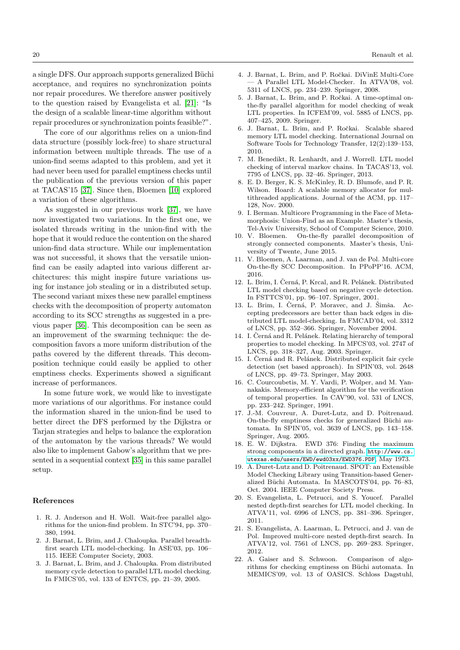a single DFS. Our approach supports generalized Büchi acceptance, and requires no synchronization points nor repair procedures. We therefore answer positively to the question raised by Evangelista et al. [\[21\]](#page-19-9): "Is the design of a scalable linear-time algorithm without repair procedures or synchronization points feasible?".

The core of our algorithms relies on a union-find data structure (possibly lock-free) to share structural information between multiple threads. The use of a union-find seems adapted to this problem, and yet it had never been used for parallel emptiness checks until the publication of the previous version of this paper at TACAS'15 [\[37\]](#page-20-7). Since then, Bloemen [\[10\]](#page-19-10) explored a variation of these algorithms.

As suggested in our previous work [\[37\]](#page-20-7), we have now investigated two variations. In the first one, we isolated threads writing in the union-find with the hope that it would reduce the contention on the shared union-find data structure. While our implementation was not successful, it shows that the versatile unionfind can be easily adapted into various different architectures: this might inspire future variations using for instance job stealing or in a distributed setup. The second variant mixes these new parallel emptiness checks with the decomposition of property automaton according to its SCC strengths as suggested in a previous paper [\[36\]](#page-20-10). This decomposition can be seen as an improvement of the swarming technique: the decomposition favors a more uniform distribution of the paths covered by the different threads. This decomposition technique could easily be applied to other emptiness checks. Experiments showed a significant increase of performances.

In some future work, we would like to investigate more variations of our algorithms. For instance could the information shared in the union-find be used to better direct the DFS performed by the Dijkstra or Tarjan strategies and helps to balance the exploration of the automaton by the various threads? We would also like to implement Gabow's algorithm that we presented in a sequential context [\[35\]](#page-20-1) in this same parallel setup.

#### References

- <span id="page-19-12"></span>1. R. J. Anderson and H. Woll. Wait-free parallel algorithms for the union-find problem. In STC'94, pp. 370– 380, 1994.
- <span id="page-19-2"></span>2. J. Barnat, L. Brim, and J. Chaloupka. Parallel breadthfirst search LTL model-checking. In ASE'03, pp. 106– 115. IEEE Computer Society, 2003.
- <span id="page-19-5"></span>3. J. Barnat, L. Brim, and J. Chaloupka. From distributed memory cycle detection to parallel LTL model checking. In FMICS'05, vol. 133 of ENTCS, pp. 21–39, 2005.
- <span id="page-19-18"></span>4. J. Barnat, L. Brim, and P. Ročkai. DiVinE Multi-Core — A Parallel LTL Model-Checker. In ATVA'08, vol. 5311 of LNCS, pp. 234–239. Springer, 2008.
- <span id="page-19-6"></span>5. J. Barnat, L. Brim, and P. Ročkai. A time-optimal onthe-fly parallel algorithm for model checking of weak LTL properties. In ICFEM'09, vol. 5885 of LNCS, pp. 407–425, 2009. Springer.
- <span id="page-19-7"></span>6. J. Barnat, L. Brim, and P. Ročkai. Scalable shared memory LTL model checking. International Journal on Software Tools for Technology Transfer, 12(2):139–153, 2010.
- <span id="page-19-17"></span>7. M. Benedikt, R. Lenhardt, and J. Worrell. LTL model checking of interval markov chains. In TACAS'13, vol. 7795 of LNCS, pp. 32–46. Springer, 2013.
- <span id="page-19-21"></span>8. E. D. Berger, K. S. McKinley, R. D. Blumofe, and P. R. Wilson. Hoard: A scalable memory allocator for multithreaded applications. Journal of the ACM, pp. 117– 128, Nov. 2000.
- <span id="page-19-14"></span>9. I. Berman. Multicore Programming in the Face of Metamorphosis: Union-Find as an Example. Master's thesis, Tel-Aviv University, School of Computer Science, 2010.
- <span id="page-19-10"></span>10. V. Bloemen. On-the-fly parallel decomposition of strongly connected components. Master's thesis, University of Twente, June 2015.
- <span id="page-19-11"></span>11. V. Bloemen, A. Laarman, and J. van de Pol. Multi-core On-the-fly SCC Decomposition. In PPoPP'16. ACM, 2016.
- <span id="page-19-1"></span>12. L. Brim, I. Černá, P. Krcal, and R. Pelánek. Distributed LTL model checking based on negative cycle detection. In FSTTCS'01, pp. 96–107. Springer, 2001.
- <span id="page-19-4"></span>13. L. Brim, I. Černá, P. Moravec, and J. Šimša. Accepting predecessors are better than back edges in distributed LTL model-checking. In FMCAD'04, vol. 3312 of LNCS, pp. 352–366. Springer, November 2004.
- <span id="page-19-16"></span>14. I. Černá and R. Pelánek. Relating hierarchy of temporal properties to model checking. In MFCS'03, vol. 2747 of LNCS, pp. 318–327, Aug. 2003. Springer.
- <span id="page-19-3"></span>15. I. Černá and R. Pelánek. Distributed explicit fair cycle detection (set based approach). In SPIN'03, vol. 2648 of LNCS, pp. 49–73. Springer, May 2003.
- <span id="page-19-15"></span>16. C. Courcoubetis, M. Y. Vardi, P. Wolper, and M. Yannakakis. Memory-efficient algorithm for the verification of temporal properties. In CAV'90, vol. 531 of LNCS, pp. 233–242. Springer, 1991.
- <span id="page-19-0"></span>17. J.-M. Couvreur, A. Duret-Lutz, and D. Poitrenaud. On-the-fly emptiness checks for generalized Büchi automata. In SPIN'05, vol. 3639 of LNCS, pp. 143–158. Springer, Aug. 2005.
- <span id="page-19-13"></span>18. E. W. Dijkstra. EWD 376: Finding the maximum strong components in a directed graph. [http://www.cs.](http://www.cs.utexas.edu/users/EWD/ewd03xx/EWD376.PDF) [utexas.edu/users/EWD/ewd03xx/EWD376.PDF](http://www.cs.utexas.edu/users/EWD/ewd03xx/EWD376.PDF), May 1973.
- <span id="page-19-20"></span>19. A. Duret-Lutz and D. Poitrenaud. SPOT: an Extensible Model Checking Library using Transition-based Generalized Büchi Automata. In MASCOTS'04, pp. 76–83, Oct. 2004. IEEE Computer Society Press.
- <span id="page-19-8"></span>20. S. Evangelista, L. Petrucci, and S. Youcef. Parallel nested depth-first searches for LTL model checking. In ATVA'11, vol. 6996 of LNCS, pp. 381–396. Springer, 2011.
- <span id="page-19-9"></span>21. S. Evangelista, A. Laarman, L. Petrucci, and J. van de Pol. Improved multi-core nested depth-first search. In ATVA'12, vol. 7561 of LNCS, pp. 269–283. Springer, 2012.
- <span id="page-19-19"></span>22. A. Gaiser and S. Schwoon. Comparison of algorithms for checking emptiness on Büchi automata. In MEMICS'09, vol. 13 of OASICS. Schloss Dagstuhl,